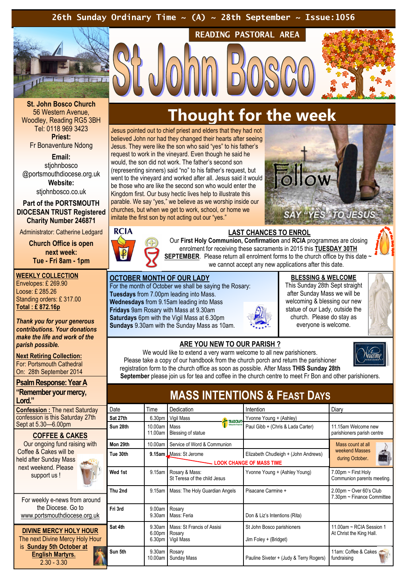## 26th Sunday Ordinary Time  $\sim$  (A)  $\sim$  28th September  $\sim$  Issue:1056



St. John Bosco Church 56 Western Avenue, Woodley, Reading RG5 3BH Tel: 0118 969 3423 Priest:

Fr Bonaventure Ndong

Email:

stiohnbosco @portsmouthdiocese.org.uk Website:

stjohnbosco.co.uk

Part of the PORTSMOUTH DIOCESAN TRUST Registered Charity Number 246871

Administrator: Catherine Ledgard

Church Office is open next week: Tue - Fri 8am - 1pm

WEEKLY COLLECTION Envelopes: £ 269.90 Loose: £ 285.26 Standing orders: £ 317.00 Total : £ 872.16p

Thank you for your generous contributions. Your donations make the life and work of the parish possible.

**Next Retiring Collection:** For: Portsmouth Cathedral On: 28th September 2014

Psalm Response: Year A

"Remember your mercy, Lord."

Confession : The next Saturday confession is this Saturday 27th Sept at 5.30—6.00pm

#### COFFEE & CAKES

Our ongoing fund raising with Coffee & Cakes will be held after Sunday Mass next weekend. Please support us !

For weekly e-news from around the Diocese. Go to www.portsmouthdiocese.org.uk

DIVINE MERCY HOLY HOUR The next Divine Mercy Holy Hou is Sunday 5th October at English Martyrs.  $2.30 - 3.30$ 

# Thought for the week

READING PASTORAL AREA

Jesus pointed out to chief priest and elders that they had not believed John nor had they changed their hearts after seeing Jesus. They were like the son who said "yes" to his father's request to work in the vineyard. Even though he said he would, the son did not work. The father's second son (representing sinners) said "no" to his father's request, but went to the vineyard and worked after all. Jesus said it would be those who are like the second son who would enter the Kingdom first. Our busy hectic lives help to illustrate this parable. We say "yes," we believe as we worship inside our churches, but when we get to work, school, or home we imitate the first son by not acting out our "yes."





LAST CHANCES TO ENROL Our First Holy Communion, Confirmation and RCIA programmes are closing enrolment for receiving these sacraments in 2015 this TUESDAY 30TH SEPTEMBER. Please return all enrolment forms to the church office by this date we cannot accept any new applications after this date.

## OCTOBER MONTH OF OUR LADY

For the month of October we shall be saying the Rosary: Tuesdays from 7.00pm leading into Mass. Wednesdays from 9.15am leading into Mass Fridays 9am Rosary with Mass at 9.30am Saturdays 6pm with the Vigil Mass at 6.30pm Sundays 9.30am with the Sunday Mass as 10am.



# BLESSING & WELCOME

This Sunday 28th Sept straight after Sunday Mass we will be welcoming & blessing our new statue of our Lady, outside the church. Please do stay as everyone is welcome.



etcomi

#### ARE YOU NEW TO OUR PARISH ?

We would like to extend a very warm welcome to all new parishioners. Please take a copy of our handbook from the church porch and return the parishioner registration form to the church office as soon as possible. After Mass THIS Sunday 28th September please join us for tea and coffee in the church centre to meet Fr Bon and other parishioners.

MASS INTENTIONS & FEAST DAYS Date Time Dedication Intention Intention Diary Sat 27th 6.30pm Vigil Mass Vigil Mass Vyonne Young + (Ashley) Sun 28th 10.00am 11.00am Mass Blessing of statue Paul Gibb + (Chris & Lada Carter) 11.15am Welcome new parishioners parish centre Mon 29th 10.00am Service of Word & Communion St Teresa of the child Jesus Yvonne Young + (Ashley Young) 7.00pm ~ First Holy LOOK CHANGE OF MASS TIME Mass count at all weekend Masses during October.

|    | ווופג ווטואו | 1 V.VVGIII                               | <u>JULIOUS OF VIOLU &amp; COMMITTED IN</u>                  |                                                                         | mass count at an                                         |
|----|--------------|------------------------------------------|-------------------------------------------------------------|-------------------------------------------------------------------------|----------------------------------------------------------|
|    | Tue 30th     |                                          | 9.15am LMass: St Jerome                                     | Elizabeth Chudleigh + (John Andrews)<br><b>LOOK CHANGE OF MASS TIME</b> | weekend Masses<br>1234<br>during October.                |
|    | Wed 1st      | $9.15$ am                                | Rosary & Mass:<br>St Teresa of the child Jesus              | Yvonne Young + (Ashley Young)                                           | $7.00$ pm ~ First Holy<br>Communion parents meeting.     |
| q  | Thu 2nd      |                                          | 9.15am   Mass: The Holy Guardian Angels                     | Pisacane Carmine +                                                      | $2.00$ pm ~ Over 60's Club<br>7.30pm ~ Finance Committee |
|    | Fri 3rd      | 9.00am Rosary<br>$9.30$ am               | Mass: Feria                                                 | Don & Liz's Intentions (Rita)                                           |                                                          |
| ٦r | Sat 4th      | 6.00 <sub>pm</sub><br>6.30 <sub>pm</sub> | 9.30am   Mass: St Francis of Assisi<br>Rosary<br>Vigil Mass | St John Bosco parishioners<br>Jim Foley + (Bridget)                     | 11.00am ~ RCIA Session 1<br>At Christ the King Hall.     |
| Q. | Sun 5th      | 9.30am<br>10.00am                        | Rosary<br><b>Sunday Mass</b>                                | Pauline Siveter + (Judy & Terry Rogers)                                 | 11am: Coffee & Cakes<br>fundraising                      |